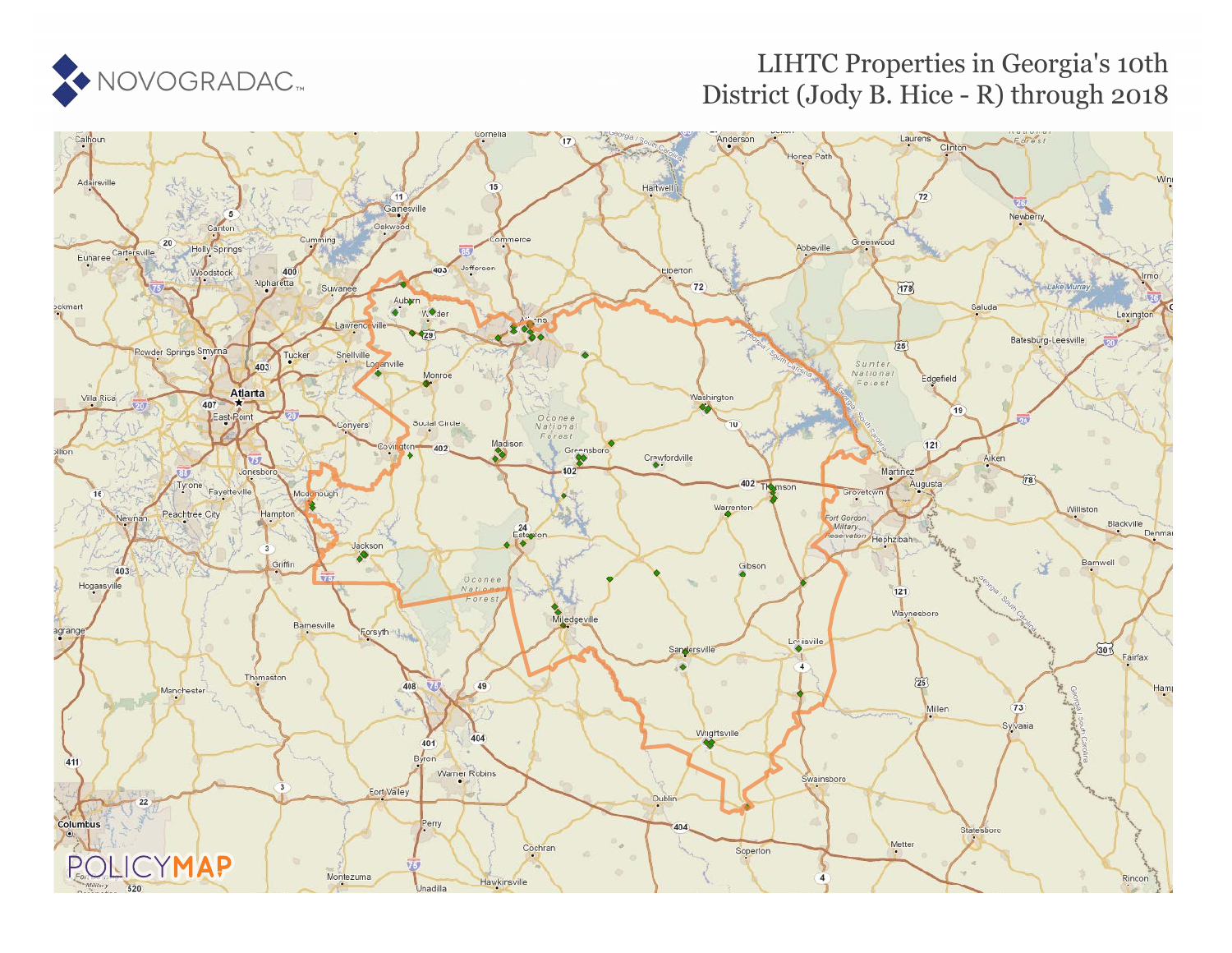

### LIHTC Properties in Georgia's 10th District (Jody B. Hice - R) through 2018

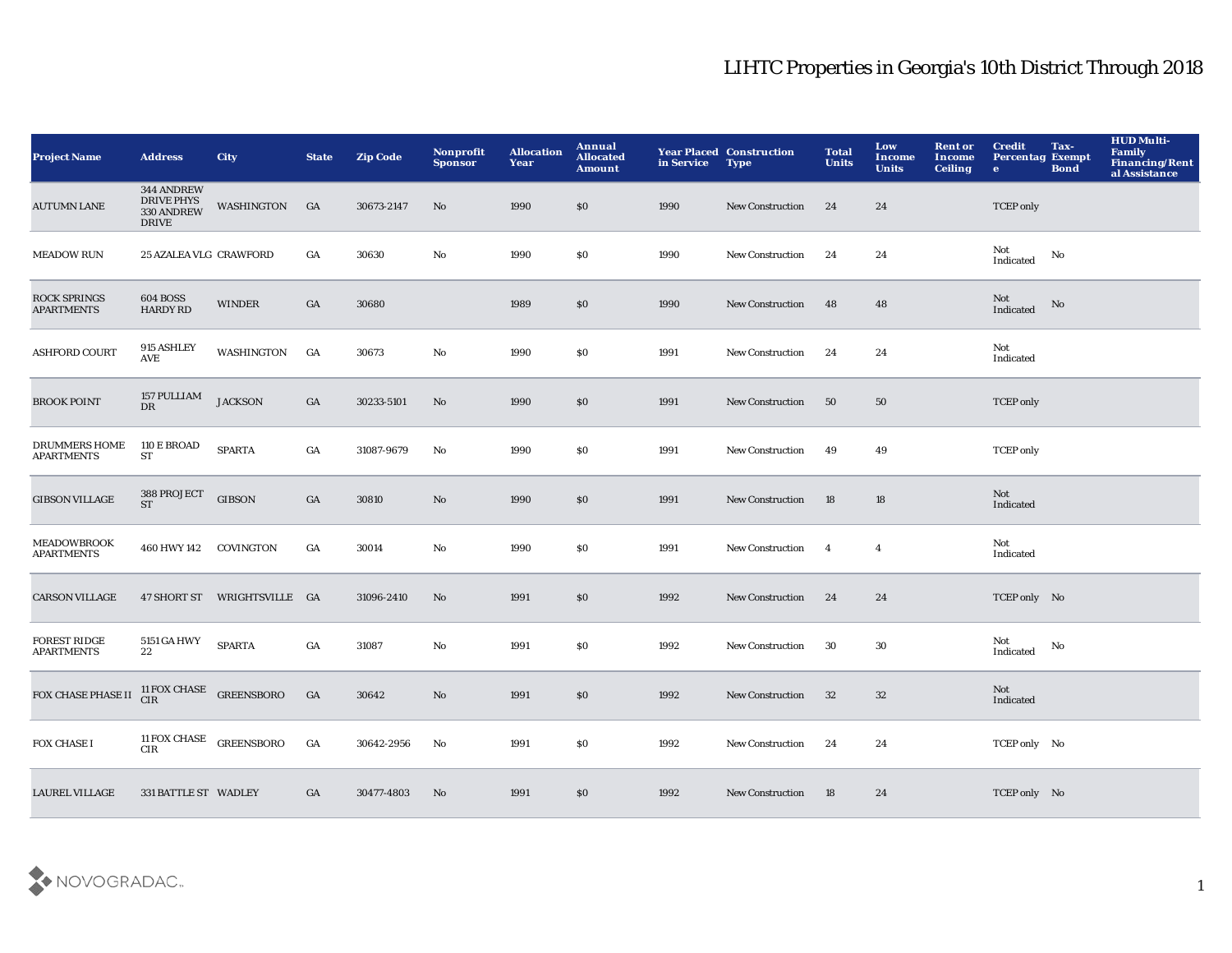| <b>Project Name</b>                      | <b>Address</b>                                                | <b>City</b>                 | <b>State</b>     | <b>Zip Code</b> | <b>Nonprofit</b><br><b>Sponsor</b> | <b>Allocation</b><br>Year | Annual<br><b>Allocated</b><br><b>Amount</b> | in Service | <b>Year Placed Construction</b><br><b>Type</b> | <b>Total</b><br><b>Units</b> | Low<br><b>Income</b><br><b>Units</b> | <b>Rent or</b><br>Income<br><b>Ceiling</b> | <b>Credit</b><br><b>Percentag Exempt</b><br>$\mathbf{e}$ | Tax-<br><b>Bond</b>    | <b>HUD Multi-</b><br>Family<br>Financing/Rent<br>al Assistance |
|------------------------------------------|---------------------------------------------------------------|-----------------------------|------------------|-----------------|------------------------------------|---------------------------|---------------------------------------------|------------|------------------------------------------------|------------------------------|--------------------------------------|--------------------------------------------|----------------------------------------------------------|------------------------|----------------------------------------------------------------|
| $\rm{AUTUMN}$ LANE                       | 344 ANDREW<br><b>DRIVE PHYS</b><br>330 ANDREW<br><b>DRIVE</b> | WASHINGTON                  | GA               | 30673-2147      | No                                 | 1990                      | \$0                                         | 1990       | New Construction                               | 24                           | 24                                   |                                            | <b>TCEP</b> only                                         |                        |                                                                |
| <b>MEADOW RUN</b>                        | 25 AZALEA VLG CRAWFORD                                        |                             | GA               | 30630           | No                                 | 1990                      | \$0                                         | 1990       | <b>New Construction</b>                        | 24                           | 24                                   |                                            | Not<br>Indicated                                         | No                     |                                                                |
| <b>ROCK SPRINGS</b><br><b>APARTMENTS</b> | <b>604 BOSS</b><br><b>HARDY RD</b>                            | <b>WINDER</b>               | GA               | 30680           |                                    | 1989                      | \$0                                         | 1990       | New Construction                               | 48                           | 48                                   |                                            | Not<br>Indicated                                         | $\mathbf{No}$          |                                                                |
| <b>ASHFORD COURT</b>                     | 915 ASHLEY<br>AVE                                             | WASHINGTON                  | GA               | 30673           | $\mathbf {No}$                     | 1990                      | $\$0$                                       | 1991       | New Construction                               | 24                           | 24                                   |                                            | Not<br>Indicated                                         |                        |                                                                |
| <b>BROOK POINT</b>                       | 157 PULLIAM<br>DR                                             | <b>JACKSON</b>              | GA               | 30233-5101      | $\mathbf{N}\mathbf{o}$             | 1990                      | \$0                                         | 1991       | <b>New Construction</b>                        | - 50                         | 50                                   |                                            | <b>TCEP</b> only                                         |                        |                                                                |
| DRUMMERS HOME<br><b>APARTMENTS</b>       | 110 E BROAD<br>${\cal S}{\cal T}$                             | <b>SPARTA</b>               | $_{\mathrm{GA}}$ | 31087-9679      | $\mathbf{N}\mathbf{o}$             | 1990                      | \$0                                         | 1991       | New Construction                               | 49                           | 49                                   |                                            | <b>TCEP</b> only                                         |                        |                                                                |
| <b>GIBSON VILLAGE</b>                    | 388 PROJECT<br><b>ST</b>                                      | <b>GIBSON</b>               | GA               | 30810           | No                                 | 1990                      | \$0                                         | 1991       | New Construction                               | 18                           | 18                                   |                                            | Not<br>Indicated                                         |                        |                                                                |
| <b>MEADOWBROOK</b><br><b>APARTMENTS</b>  | 460 HWY 142 COVINGTON                                         |                             | GA               | 30014           | No                                 | 1990                      | <b>SO</b>                                   | 1991       | <b>New Construction</b>                        | $\overline{\mathbf{4}}$      | $\overline{4}$                       |                                            | Not<br>Indicated                                         |                        |                                                                |
| <b>CARSON VILLAGE</b>                    |                                                               | 47 SHORT ST WRIGHTSVILLE GA |                  | 31096-2410      | No                                 | 1991                      | \$0                                         | 1992       | New Construction                               | 24                           | 24                                   |                                            | TCEP only No                                             |                        |                                                                |
| <b>FOREST RIDGE</b><br><b>APARTMENTS</b> | 5151 GA HWY<br>22                                             | <b>SPARTA</b>               | GA               | 31087           | No                                 | 1991                      | \$0                                         | 1992       | <b>New Construction</b>                        | 30                           | 30                                   |                                            | Not<br>Indicated                                         | $\mathbf{N}\mathbf{o}$ |                                                                |
| FOX CHASE PHASE II                       | $^{11}$ FOX CHASE GREENSBORO CIR $\,$                         |                             | GA               | 30642           | $\rm\thinspace No$                 | 1991                      | \$0                                         | 1992       | <b>New Construction</b>                        | 32                           | $32\,$                               |                                            | Not<br>Indicated                                         |                        |                                                                |
| FOX CHASE I                              | 11 FOX CHASE GREENSBORO<br><b>CIR</b>                         |                             | $_{\mathrm{GA}}$ | 30642-2956      | No                                 | 1991                      | \$0                                         | 1992       | <b>New Construction</b>                        | 24                           | 24                                   |                                            | TCEP only No                                             |                        |                                                                |
| <b>LAUREL VILLAGE</b>                    | 331 BATTLE ST WADLEY                                          |                             | GA               | 30477-4803      | No                                 | 1991                      | \$0                                         | 1992       | <b>New Construction</b>                        | 18                           | 24                                   |                                            | TCEP only No                                             |                        |                                                                |

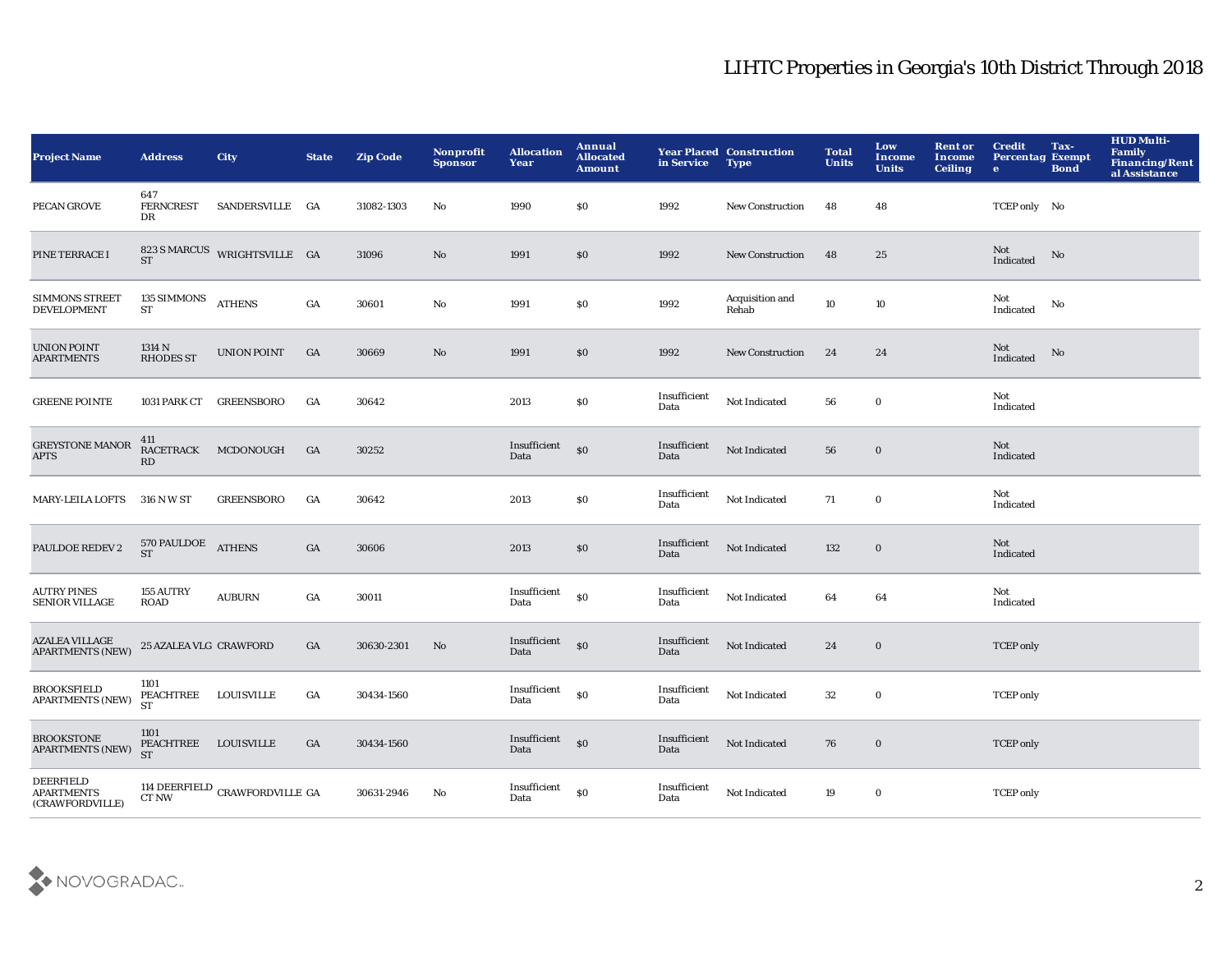| <b>Project Name</b>                                      | <b>Address</b>                            | <b>City</b>                                  | <b>State</b>     | <b>Zip Code</b> | Nonprofit<br><b>Sponsor</b> | <b>Allocation</b><br>Year     | <b>Annual</b><br><b>Allocated</b><br><b>Amount</b> | in Service           | <b>Year Placed Construction</b><br><b>Type</b> | <b>Total</b><br><b>Units</b> | Low<br><b>Income</b><br><b>Units</b> | <b>Rent or</b><br><b>Income</b><br><b>Ceiling</b> | <b>Credit</b><br><b>Percentag Exempt</b><br>$\bullet$ | Tax-<br><b>Bond</b> | <b>HUD Multi-</b><br><b>Family</b><br>Financing/Rent<br>al Assistance |
|----------------------------------------------------------|-------------------------------------------|----------------------------------------------|------------------|-----------------|-----------------------------|-------------------------------|----------------------------------------------------|----------------------|------------------------------------------------|------------------------------|--------------------------------------|---------------------------------------------------|-------------------------------------------------------|---------------------|-----------------------------------------------------------------------|
| PECAN GROVE                                              | 647<br><b>FERNCREST</b><br>DR             | SANDERSVILLE GA                              |                  | 31082-1303      | No                          | 1990                          | \$0                                                | 1992                 | <b>New Construction</b>                        | 48                           | 48                                   |                                                   | TCEP only No                                          |                     |                                                                       |
| PINE TERRACE I                                           |                                           | $823\,S\,\mathrm{MARCUS}$ WRIGHTSVILLE GA ST |                  | 31096           | No                          | 1991                          | \$0                                                | 1992                 | New Construction                               | 48                           | 25                                   |                                                   | Not<br>Indicated                                      | No                  |                                                                       |
| SIMMONS STREET<br><b>DEVELOPMENT</b>                     | 135 SIMMONS<br><b>ST</b>                  | <b>ATHENS</b>                                | GA               | 30601           | $\mathbf{No}$               | 1991                          | \$0                                                | 1992                 | Acquisition and<br>Rehab                       | 10                           | 10                                   |                                                   | Not<br>Indicated                                      | No                  |                                                                       |
| <b>UNION POINT</b><br><b>APARTMENTS</b>                  | 1314 N<br><b>RHODES ST</b>                | <b>UNION POINT</b>                           | GA               | 30669           | No                          | 1991                          | \$0                                                | 1992                 | New Construction                               | 24                           | 24                                   |                                                   | Not<br>Indicated                                      | No                  |                                                                       |
| <b>GREENE POINTE</b>                                     | 1031 PARK CT                              | <b>GREENSBORO</b>                            | GA               | 30642           |                             | 2013                          | \$0                                                | Insufficient<br>Data | Not Indicated                                  | 56                           | $\mathbf 0$                          |                                                   | Not<br>Indicated                                      |                     |                                                                       |
| <b>GREYSTONE MANOR</b><br><b>APTS</b>                    | 411<br>RACETRACK<br>RD                    | MCDONOUGH                                    | GA               | 30252           |                             | Insufficient<br>Data          | $\$0$                                              | Insufficient<br>Data | Not Indicated                                  | 56                           | $\bf{0}$                             |                                                   | Not<br>Indicated                                      |                     |                                                                       |
| <b>MARY-LEILA LOFTS</b>                                  | 316 N W ST                                | <b>GREENSBORO</b>                            | $_{\mathrm{GA}}$ | 30642           |                             | 2013                          | $\bf{S0}$                                          | Insufficient<br>Data | Not Indicated                                  | 71                           | $\mathbf 0$                          |                                                   | Not<br>Indicated                                      |                     |                                                                       |
| PAULDOE REDEV 2                                          | 570 PAULDOE<br>ST                         | <b>ATHENS</b>                                | $_{\mathrm{GA}}$ | 30606           |                             | 2013                          | \$0                                                | Insufficient<br>Data | Not Indicated                                  | 132                          | $\mathbf 0$                          |                                                   | Not<br>Indicated                                      |                     |                                                                       |
| <b>AUTRY PINES</b><br><b>SENIOR VILLAGE</b>              | <b>155 AUTRY</b><br><b>ROAD</b>           | <b>AUBURN</b>                                | GA               | 30011           |                             | Insufficient<br>Data          | $\bf{S0}$                                          | Insufficient<br>Data | Not Indicated                                  | 64                           | 64                                   |                                                   | Not<br>Indicated                                      |                     |                                                                       |
| <b>AZALEA VILLAGE</b><br><b>APARTMENTS (NEW)</b>         | 25 AZALEA VLG CRAWFORD                    |                                              | GA               | 30630-2301      | $\mathbf{N}\mathbf{o}$      | Insufficient<br>Data          | $\mathbf{S}$                                       | Insufficient<br>Data | Not Indicated                                  | 24                           | $\mathbf 0$                          |                                                   | <b>TCEP</b> only                                      |                     |                                                                       |
| <b>BROOKSFIELD</b><br><b>APARTMENTS (NEW)</b>            | 1101<br>PEACHTREE LOUISVILLE<br><b>ST</b> |                                              | GA               | 30434-1560      |                             | Insufficient<br>Data          | \$0                                                | Insufficient<br>Data | Not Indicated                                  | 32                           | $\bf{0}$                             |                                                   | <b>TCEP</b> only                                      |                     |                                                                       |
| <b>BROOKSTONE</b><br><b>APARTMENTS (NEW)</b>             | 1101<br>PEACHTREE LOUISVILLE<br><b>ST</b> |                                              | GA               | 30434-1560      |                             | Insufficient<br>Data          | \$0                                                | Insufficient<br>Data | Not Indicated                                  | 76                           | $\bf{0}$                             |                                                   | <b>TCEP</b> only                                      |                     |                                                                       |
| <b>DEERFIELD</b><br><b>APARTMENTS</b><br>(CRAWFORDVILLE) | CT NW                                     | 114 DEERFIELD CRAWFORDVILLE GA               |                  | 30631-2946      | No                          | $\bold{Insufficient}$<br>Data | \$0                                                | Insufficient<br>Data | Not Indicated                                  | 19                           | $\bf{0}$                             |                                                   | <b>TCEP</b> only                                      |                     |                                                                       |

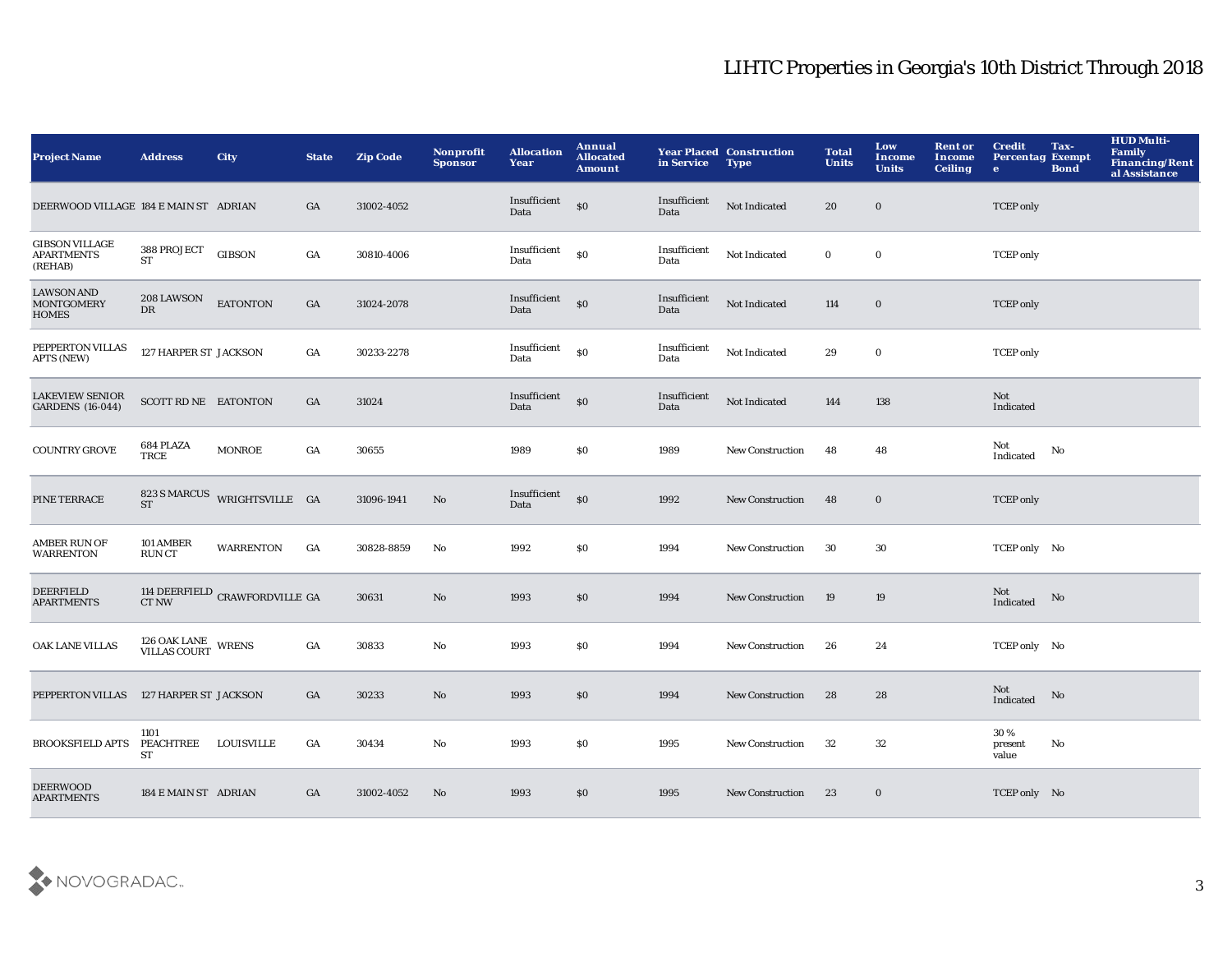| <b>Project Name</b>                                    | <b>Address</b>                           | <b>City</b>                          | <b>State</b>     | <b>Zip Code</b> | <b>Nonprofit</b><br><b>Sponsor</b> | <b>Allocation</b><br>Year | Annual<br><b>Allocated</b><br><b>Amount</b> | in Service           | <b>Year Placed Construction</b><br><b>Type</b> | <b>Total</b><br><b>Units</b> | Low<br><b>Income</b><br><b>Units</b> | <b>Rent or</b><br>Income<br><b>Ceiling</b> | <b>Credit</b><br><b>Percentag Exempt</b><br>$\bullet$ | Tax-<br><b>Bond</b> | <b>HUD Multi-</b><br>Family<br><b>Financing/Rent</b><br>al Assistance |
|--------------------------------------------------------|------------------------------------------|--------------------------------------|------------------|-----------------|------------------------------------|---------------------------|---------------------------------------------|----------------------|------------------------------------------------|------------------------------|--------------------------------------|--------------------------------------------|-------------------------------------------------------|---------------------|-----------------------------------------------------------------------|
| DEERWOOD VILLAGE 184 E MAIN ST ADRIAN                  |                                          |                                      | GA               | 31002-4052      |                                    | Insufficient<br>Data      | \$0                                         | Insufficient<br>Data | Not Indicated                                  | 20                           | $\bf{0}$                             |                                            | <b>TCEP</b> only                                      |                     |                                                                       |
| <b>GIBSON VILLAGE</b><br><b>APARTMENTS</b><br>(REHAB)  | 388 PROJECT<br><b>ST</b>                 | <b>GIBSON</b>                        | GA               | 30810-4006      |                                    | Insufficient<br>Data      | \$0                                         | Insufficient<br>Data | Not Indicated                                  | $\bf{0}$                     | $\bf{0}$                             |                                            | <b>TCEP</b> only                                      |                     |                                                                       |
| <b>LAWSON AND</b><br><b>MONTGOMERY</b><br><b>HOMES</b> | <b>208 LAWSON</b><br>DR                  | <b>EATONTON</b>                      | GA               | 31024-2078      |                                    | Insufficient<br>Data      | \$0                                         | Insufficient<br>Data | Not Indicated                                  | 114                          | $\bf{0}$                             |                                            | <b>TCEP</b> only                                      |                     |                                                                       |
| PEPPERTON VILLAS<br>APTS (NEW)                         | 127 HARPER ST JACKSON                    |                                      | $_{\mathrm{GA}}$ | 30233-2278      |                                    | Insufficient<br>Data      | \$0                                         | Insufficient<br>Data | Not Indicated                                  | 29                           | $\mathbf 0$                          |                                            | <b>TCEP</b> only                                      |                     |                                                                       |
| <b>LAKEVIEW SENIOR</b><br><b>GARDENS</b> (16-044)      | SCOTT RD NE EATONTON                     |                                      | GA               | 31024           |                                    | Insufficient<br>Data      | \$0                                         | Insufficient<br>Data | Not Indicated                                  | 144                          | 138                                  |                                            | Not<br>Indicated                                      |                     |                                                                       |
| <b>COUNTRY GROVE</b>                                   | 684 PLAZA<br>TRCE                        | <b>MONROE</b>                        | GA               | 30655           |                                    | 1989                      | \$0                                         | 1989                 | New Construction                               | 48                           | 48                                   |                                            | Not<br>Indicated                                      | No                  |                                                                       |
| PINE TERRACE                                           | <b>ST</b>                                | 823 S MARCUS WRIGHTSVILLE GA         |                  | 31096-1941      | $\mathbf{N}\mathbf{o}$             | Insufficient<br>Data      | \$0                                         | 1992                 | <b>New Construction</b>                        | 48                           | $\mathbf 0$                          |                                            | <b>TCEP</b> only                                      |                     |                                                                       |
| <b>AMBER RUN OF</b><br><b>WARRENTON</b>                | 101 AMBER<br><b>RUNCT</b>                | <b>WARRENTON</b>                     | GA               | 30828-8859      | $\mathbf{N}\mathbf{o}$             | 1992                      | \$0                                         | 1994                 | New Construction                               | 30                           | 30                                   |                                            | TCEP only No                                          |                     |                                                                       |
| <b>DEERFIELD</b><br><b>APARTMENTS</b>                  |                                          | 114 DEERFIELD CRAWFORDVILLE GA CT NW |                  | 30631           | $\rm\thinspace No$                 | 1993                      | \$0                                         | 1994                 | <b>New Construction</b>                        | 19                           | 19                                   |                                            | Not<br>Indicated                                      | No                  |                                                                       |
| OAK LANE VILLAS                                        | 126 OAK LANE WRENS<br>VILLAS COURT WRENS |                                      | $_{\mathrm{GA}}$ | 30833           | No                                 | 1993                      | <b>SO</b>                                   | 1994                 | New Construction                               | 26                           | 24                                   |                                            | TCEP only No                                          |                     |                                                                       |
| PEPPERTON VILLAS                                       | 127 HARPER ST JACKSON                    |                                      | GA               | 30233           | No                                 | 1993                      | \$0                                         | 1994                 | <b>New Construction</b>                        | 28                           | 28                                   |                                            | Not<br>Indicated                                      | No                  |                                                                       |
| <b>BROOKSFIELD APTS</b>                                | 1101<br>PEACHTREE<br>ST                  | <b>LOUISVILLE</b>                    | GA               | 30434           | No                                 | 1993                      | <b>SO</b>                                   | 1995                 | <b>New Construction</b>                        | 32                           | 32                                   |                                            | 30%<br>present<br>value                               | No                  |                                                                       |
| <b>DEERWOOD</b><br><b>APARTMENTS</b>                   | 184 E MAIN ST ADRIAN                     |                                      | GA               | 31002-4052      | No                                 | 1993                      | \$0                                         | 1995                 | <b>New Construction</b>                        | 23                           | $\bf{0}$                             |                                            | TCEP only No                                          |                     |                                                                       |

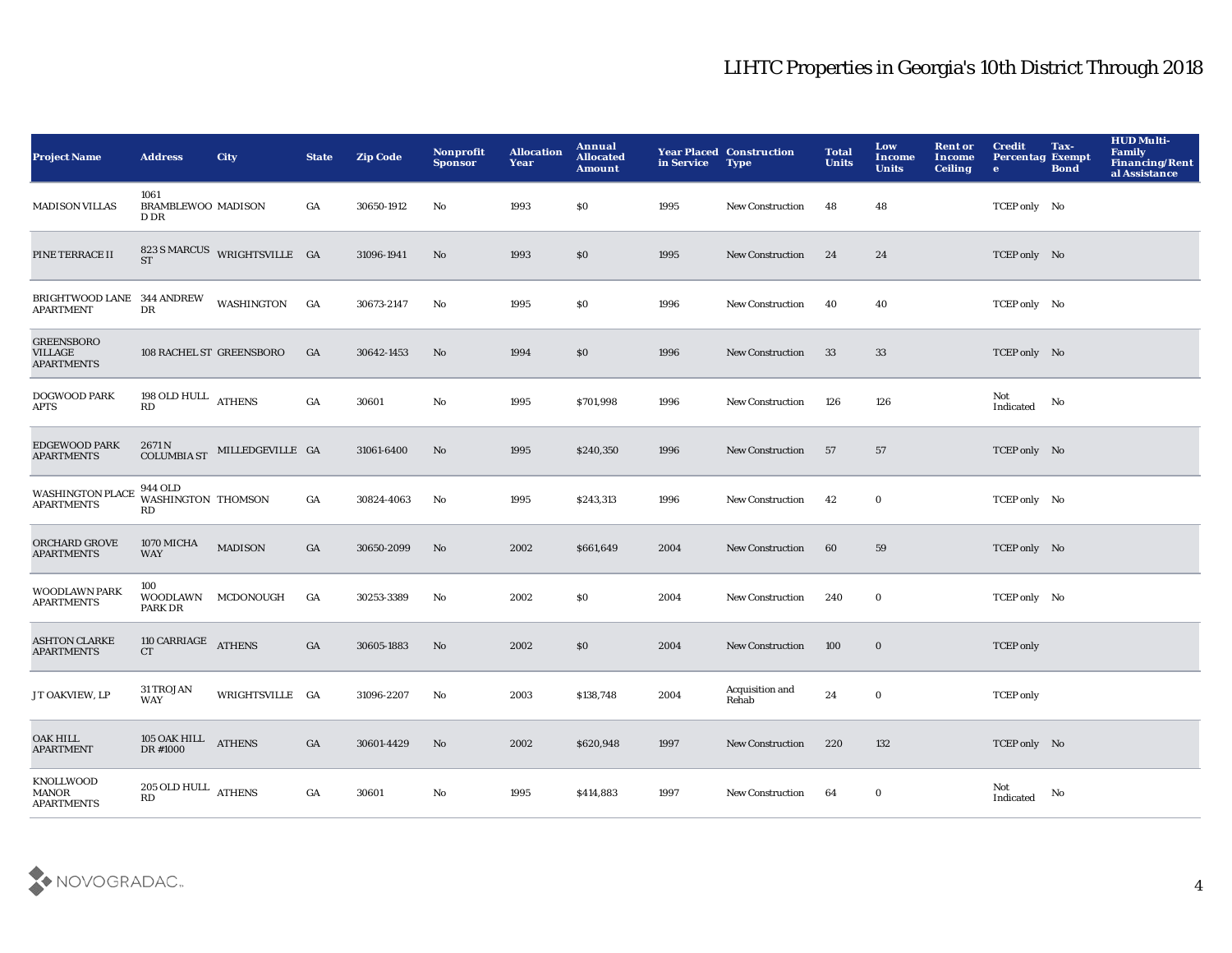| <b>Project Name</b>                                      | <b>Address</b>                            | <b>City</b>                  | <b>State</b>     | <b>Zip Code</b> | <b>Nonprofit</b><br><b>Sponsor</b> | <b>Allocation</b><br>Year | Annual<br><b>Allocated</b><br><b>Amount</b> | in Service | <b>Year Placed Construction</b><br><b>Type</b> | <b>Total</b><br><b>Units</b> | Low<br>Income<br><b>Units</b> | <b>Rent or</b><br><b>Income</b><br><b>Ceiling</b> | <b>Credit</b><br><b>Percentag Exempt</b><br>$\bullet$ | Tax-<br><b>Bond</b> | <b>HUD Multi-</b><br>Family<br>Financing/Rent<br>al Assistance |
|----------------------------------------------------------|-------------------------------------------|------------------------------|------------------|-----------------|------------------------------------|---------------------------|---------------------------------------------|------------|------------------------------------------------|------------------------------|-------------------------------|---------------------------------------------------|-------------------------------------------------------|---------------------|----------------------------------------------------------------|
| <b>MADISON VILLAS</b>                                    | 1061<br><b>BRAMBLEWOO MADISON</b><br>D DR |                              | GA               | 30650-1912      | No                                 | 1993                      | \$0                                         | 1995       | New Construction                               | 48                           | 48                            |                                                   | TCEP only No                                          |                     |                                                                |
| PINE TERRACE II                                          | <b>ST</b>                                 | 823 S MARCUS WRIGHTSVILLE GA |                  | 31096-1941      | $\mathbf{N}\mathbf{o}$             | 1993                      | \$0                                         | 1995       | New Construction                               | 24                           | 24                            |                                                   | TCEP only No                                          |                     |                                                                |
| BRIGHTWOOD LANE 344 ANDREW<br><b>APARTMENT</b>           | DR                                        | WASHINGTON                   | GA               | 30673-2147      | No                                 | 1995                      | \$0                                         | 1996       | <b>New Construction</b>                        | 40                           | 40                            |                                                   | TCEP only No                                          |                     |                                                                |
| <b>GREENSBORO</b><br><b>VILLAGE</b><br><b>APARTMENTS</b> |                                           | 108 RACHEL ST GREENSBORO     | GA               | 30642-1453      | No                                 | 1994                      | \$0                                         | 1996       | New Construction                               | 33                           | 33                            |                                                   | TCEP only No                                          |                     |                                                                |
| <b>DOGWOOD PARK</b><br><b>APTS</b>                       | 198 OLD HULL ATHENS<br>RD                 |                              | $_{\mathrm{GA}}$ | 30601           | $\rm No$                           | 1995                      | \$701,998                                   | 1996       | New Construction                               | 126                          | 126                           |                                                   | Not<br>Indicated                                      | No                  |                                                                |
| <b>EDGEWOOD PARK</b><br><b>APARTMENTS</b>                | 2671 N<br><b>COLUMBIA ST</b>              | MILLEDGEVILLE GA             |                  | 31061-6400      | No                                 | 1995                      | \$240,350                                   | 1996       | <b>New Construction</b>                        | 57                           | 57                            |                                                   | TCEP only No                                          |                     |                                                                |
| <b>WASHINGTON PLACE</b><br><b>APARTMENTS</b>             | 944 OLD<br>WASHINGTON THOMSON<br>RD       |                              | GA               | 30824-4063      | No                                 | 1995                      | \$243,313                                   | 1996       | New Construction                               | 42                           | $\bf{0}$                      |                                                   | TCEP only No                                          |                     |                                                                |
| ORCHARD GROVE<br><b>APARTMENTS</b>                       | 1070 MICHA<br><b>WAY</b>                  | <b>MADISON</b>               | GA               | 30650-2099      | $\mathbf{N}\mathbf{o}$             | 2002                      | \$661,649                                   | 2004       | New Construction                               | 60                           | 59                            |                                                   | TCEP only No                                          |                     |                                                                |
| <b>WOODLAWN PARK</b><br><b>APARTMENTS</b>                | 100<br>PARK DR                            | WOODLAWN MCDONOUGH           | GA               | 30253-3389      | $\mathbf{N}\mathbf{o}$             | 2002                      | \$0                                         | 2004       | <b>New Construction</b>                        | 240                          | $\bf{0}$                      |                                                   | TCEP only No                                          |                     |                                                                |
| <b>ASHTON CLARKE</b><br><b>APARTMENTS</b>                | 110 CARRIAGE<br><b>CT</b>                 | <b>ATHENS</b>                | GA               | 30605-1883      | No                                 | 2002                      | \$0                                         | 2004       | <b>New Construction</b>                        | 100                          | $\bf{0}$                      |                                                   | <b>TCEP</b> only                                      |                     |                                                                |
| JT OAKVIEW, LP                                           | 31 TROJAN<br>WAY                          | WRIGHTSVILLE GA              |                  | 31096-2207      | No                                 | 2003                      | \$138,748                                   | 2004       | Acquisition and<br>Rehab                       | 24                           | $\mathbf 0$                   |                                                   | <b>TCEP</b> only                                      |                     |                                                                |
| <b>OAK HILL</b><br><b>APARTMENT</b>                      | 105 OAK HILL ATHENS<br>DR #1000           |                              | GA               | 30601-4429      | No                                 | 2002                      | \$620,948                                   | 1997       | New Construction                               | 220                          | 132                           |                                                   | TCEP only No                                          |                     |                                                                |
| <b>KNOLLWOOD</b><br>MANOR<br><b>APARTMENTS</b>           | $205$ OLD HULL $\,$ ATHENS $\,$<br>RD     |                              | GA               | 30601           | No                                 | 1995                      | \$414,883                                   | 1997       | <b>New Construction</b>                        | 64                           | $\bf{0}$                      |                                                   | Not<br>Indicated                                      | No                  |                                                                |

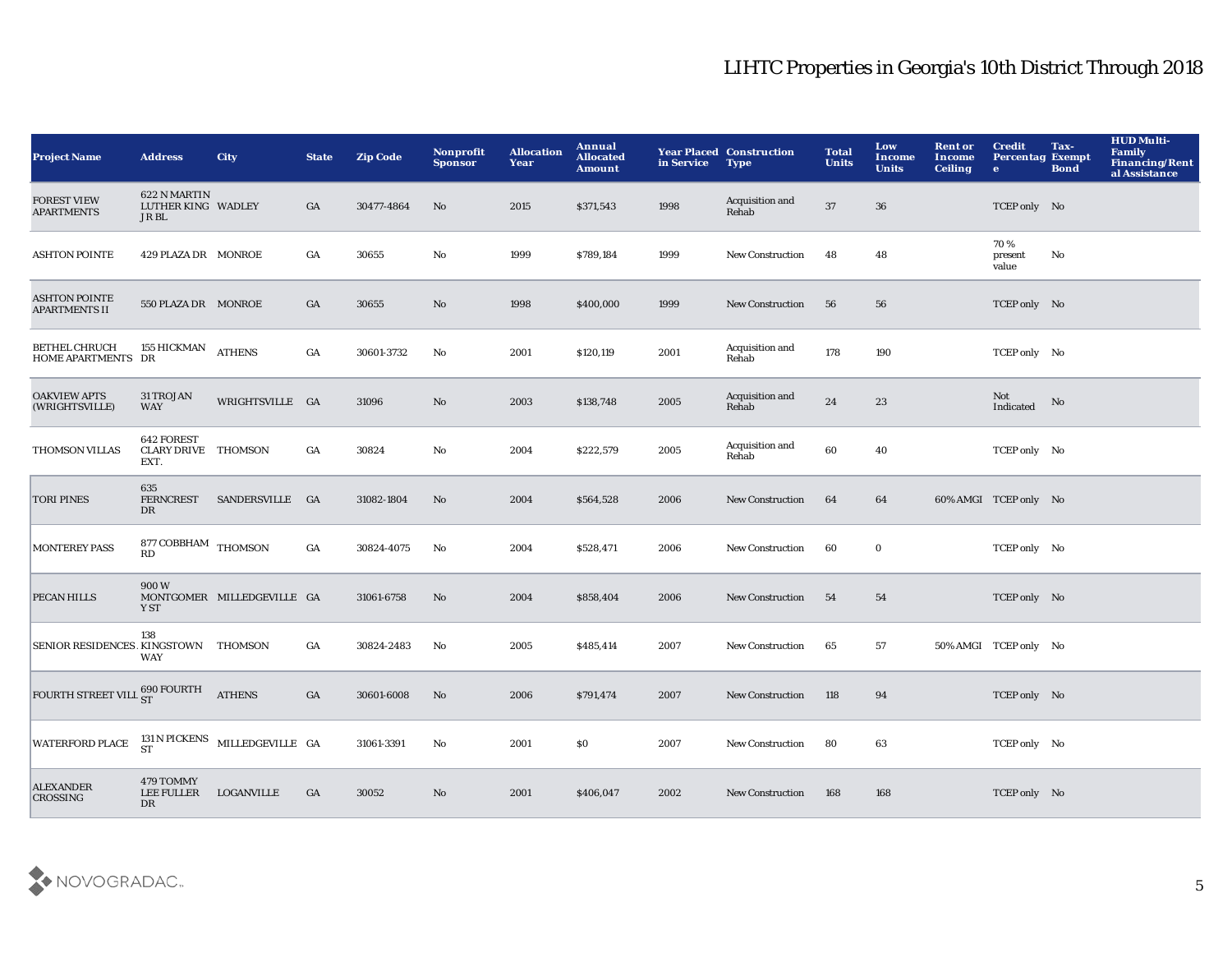| <b>Project Name</b>                          | <b>Address</b>                                   | <b>City</b>                                         | <b>State</b>     | <b>Zip Code</b> | <b>Nonprofit</b><br><b>Sponsor</b> | <b>Allocation</b><br>Year | Annual<br><b>Allocated</b><br><b>Amount</b> | in Service | <b>Year Placed Construction</b><br><b>Type</b> | <b>Total</b><br><b>Units</b> | Low<br>Income<br><b>Units</b> | <b>Rent or</b><br>Income<br><b>Ceiling</b> | <b>Credit</b><br><b>Percentag Exempt</b><br>$\bullet$ | Tax-<br><b>Bond</b> | <b>HUD Multi-</b><br><b>Family</b><br>Financing/Rent<br>al Assistance |
|----------------------------------------------|--------------------------------------------------|-----------------------------------------------------|------------------|-----------------|------------------------------------|---------------------------|---------------------------------------------|------------|------------------------------------------------|------------------------------|-------------------------------|--------------------------------------------|-------------------------------------------------------|---------------------|-----------------------------------------------------------------------|
| <b>FOREST VIEW</b><br><b>APARTMENTS</b>      | 622 N MARTIN<br>LUTHER KING WADLEY<br>JR BL      |                                                     | GA               | 30477-4864      | No                                 | 2015                      | \$371,543                                   | 1998       | Acquisition and<br>Rehab                       | 37                           | 36                            |                                            | TCEP only No                                          |                     |                                                                       |
| <b>ASHTON POINTE</b>                         | 429 PLAZA DR MONROE                              |                                                     | GA               | 30655           | $\mathbf{No}$                      | 1999                      | \$789,184                                   | 1999       | New Construction                               | 48                           | 48                            |                                            | 70%<br>present<br>value                               | No                  |                                                                       |
| <b>ASHTON POINTE</b><br><b>APARTMENTS II</b> | 550 PLAZA DR MONROE                              |                                                     | GA               | 30655           | $\mathbf{N}\mathbf{o}$             | 1998                      | \$400,000                                   | 1999       | <b>New Construction</b>                        | 56                           | 56                            |                                            | TCEP only No                                          |                     |                                                                       |
| <b>BETHEL CHRUCH</b><br>HOME APARTMENTS DR   | <b>155 HICKMAN</b>                               | <b>ATHENS</b>                                       | $_{\mathrm{GA}}$ | 30601-3732      | No                                 | 2001                      | \$120,119                                   | 2001       | <b>Acquisition and</b><br>Rehab                | 178                          | 190                           |                                            | TCEP only No                                          |                     |                                                                       |
| <b>OAKVIEW APTS</b><br>(WRIGHTSVILLE)        | 31 TROJAN<br><b>WAY</b>                          | WRIGHTSVILLE GA                                     |                  | 31096           | $\mathbf{No}$                      | 2003                      | \$138,748                                   | 2005       | Acquisition and<br>Rehab                       | $\bf 24$                     | 23                            |                                            | Not<br>Indicated                                      | No                  |                                                                       |
| THOMSON VILLAS                               | 642 FOREST<br><b>CLARY DRIVE THOMSON</b><br>EXT. |                                                     | GA               | 30824           | No                                 | 2004                      | \$222,579                                   | 2005       | Acquisition and<br>Rehab                       | 60                           | 40                            |                                            | TCEP only No                                          |                     |                                                                       |
| <b>TORI PINES</b>                            | 635<br><b>FERNCREST</b><br>DR                    | SANDERSVILLE GA                                     |                  | 31082-1804      | No                                 | 2004                      | \$564,528                                   | 2006       | <b>New Construction</b>                        | 64                           | 64                            |                                            | 60% AMGI TCEP only No                                 |                     |                                                                       |
| <b>MONTEREY PASS</b>                         | 877 COBBHAM THOMSON<br>RD                        |                                                     | GA               | 30824-4075      | No                                 | 2004                      | \$528,471                                   | 2006       | New Construction                               | 60                           | $\bf{0}$                      |                                            | TCEP only No                                          |                     |                                                                       |
| PECAN HILLS                                  | 900W<br>Y ST                                     | MONTGOMER MILLEDGEVILLE GA                          |                  | 31061-6758      | No                                 | 2004                      | \$858,404                                   | 2006       | <b>New Construction</b>                        | -54                          | 54                            |                                            | TCEP only No                                          |                     |                                                                       |
| SENIOR RESIDENCES KINGSTOWN THOMSON          | 138<br><b>WAY</b>                                |                                                     | GA               | 30824-2483      | No                                 | 2005                      | \$485,414                                   | 2007       | New Construction                               | 65                           | 57                            |                                            | 50% AMGI TCEP only No                                 |                     |                                                                       |
| FOURTH STREET VILL ST                        |                                                  | <b>ATHENS</b>                                       | GA               | 30601-6008      | No                                 | 2006                      | \$791,474                                   | 2007       | <b>New Construction</b>                        | 118                          | 94                            |                                            | TCEP only No                                          |                     |                                                                       |
| <b>WATERFORD PLACE</b>                       |                                                  | $131$ N PICKENS $$\tt MILLEDGEVILLE$$ GA $$\tt ST$$ |                  | 31061-3391      | No                                 | 2001                      | \$0                                         | 2007       | <b>New Construction</b>                        | 80                           | 63                            |                                            | TCEP only No                                          |                     |                                                                       |
| <b>ALEXANDER</b><br><b>CROSSING</b>          | 479 TOMMY<br><b>LEE FULLER</b><br>DR             | LOGANVILLE                                          | GA               | 30052           | No                                 | 2001                      | \$406,047                                   | 2002       | <b>New Construction</b>                        | 168                          | 168                           |                                            | TCEP only No                                          |                     |                                                                       |

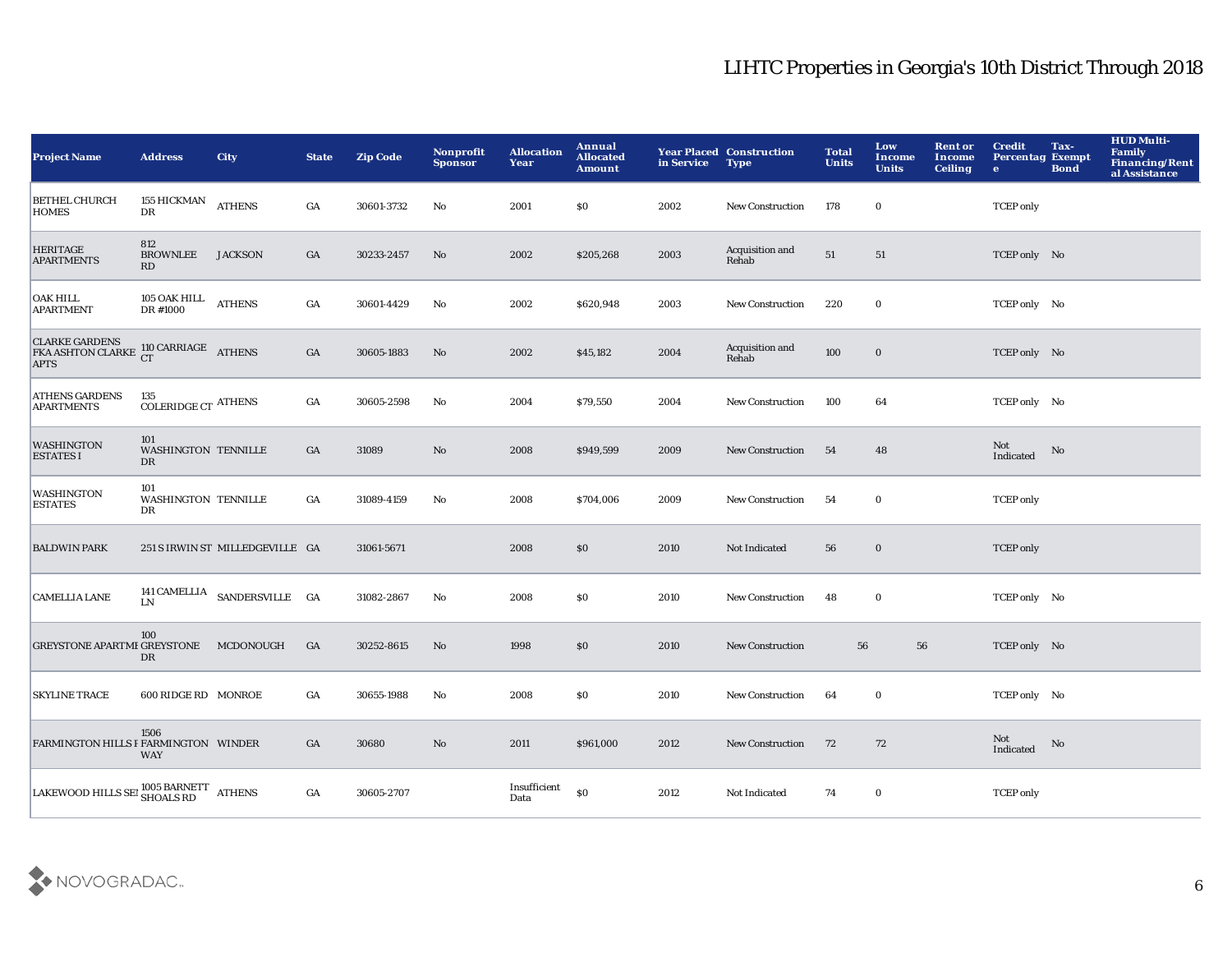| <b>Project Name</b>                                                               | <b>Address</b>                          | <b>City</b>                     | <b>State</b>     | <b>Zip Code</b> | <b>Nonprofit</b><br><b>Sponsor</b> | <b>Allocation</b><br>Year | Annual<br><b>Allocated</b><br><b>Amount</b> | in Service | <b>Year Placed Construction</b><br><b>Type</b> | <b>Total</b><br><b>Units</b> | Low<br>Income<br><b>Units</b> | <b>Rent or</b><br><b>Income</b><br><b>Ceiling</b> | <b>Credit</b><br><b>Percentag Exempt</b><br>$\bullet$ | Tax-<br><b>Bond</b> | <b>HUD Multi-</b><br><b>Family</b><br><b>Financing/Rent</b><br>al Assistance |
|-----------------------------------------------------------------------------------|-----------------------------------------|---------------------------------|------------------|-----------------|------------------------------------|---------------------------|---------------------------------------------|------------|------------------------------------------------|------------------------------|-------------------------------|---------------------------------------------------|-------------------------------------------------------|---------------------|------------------------------------------------------------------------------|
| <b>BETHEL CHURCH</b><br><b>HOMES</b>                                              | <b>155 HICKMAN</b><br>DR                | <b>ATHENS</b>                   | GA               | 30601-3732      | No                                 | 2001                      | \$0                                         | 2002       | <b>New Construction</b>                        | 178                          | $\bf{0}$                      |                                                   | <b>TCEP</b> only                                      |                     |                                                                              |
| <b>HERITAGE</b><br><b>APARTMENTS</b>                                              | 812<br><b>BROWNLEE</b><br>RD            | <b>JACKSON</b>                  | GA               | 30233-2457      | $\mathbf{No}$                      | 2002                      | \$205,268                                   | 2003       | Acquisition and<br>Rehab                       | 51                           | 51                            |                                                   | TCEP only No                                          |                     |                                                                              |
| <b>OAK HILL</b><br><b>APARTMENT</b>                                               | 105 OAK HILL<br>DR #1000                | <b>ATHENS</b>                   | GA               | 30601-4429      | No                                 | 2002                      | \$620,948                                   | 2003       | <b>New Construction</b>                        | 220                          | $\mathbf 0$                   |                                                   | TCEP only No                                          |                     |                                                                              |
| <b>CLARKE GARDENS</b><br><b>CLARKE GARDENS</b> 110 CARRIAGE ATHENS<br><b>APTS</b> |                                         |                                 | $_{\mathrm{GA}}$ | 30605-1883      | No                                 | 2002                      | \$45,182                                    | 2004       | Acquisition and<br>Rehab                       | 100                          | $\bf{0}$                      |                                                   | TCEP only No                                          |                     |                                                                              |
| <b>ATHENS GARDENS</b><br><b>APARTMENTS</b>                                        | 135<br>$\rm COLERIDGE$ CT $\rm ATHENS$  |                                 | GA               | 30605-2598      | No                                 | 2004                      | \$79,550                                    | 2004       | New Construction                               | 100                          | 64                            |                                                   | TCEP only No                                          |                     |                                                                              |
| <b>WASHINGTON</b><br><b>ESTATES I</b>                                             | 101<br><b>WASHINGTON TENNILLE</b><br>DR |                                 | GA               | 31089           | No                                 | 2008                      | \$949,599                                   | 2009       | <b>New Construction</b>                        | 54                           | 48                            |                                                   | Not<br>Indicated                                      | No                  |                                                                              |
| <b>WASHINGTON</b><br><b>ESTATES</b>                                               | 101<br>WASHINGTON TENNILLE<br>DR        |                                 | GA               | 31089-4159      | No                                 | 2008                      | \$704,006                                   | 2009       | New Construction                               | 54                           | $\mathbf 0$                   |                                                   | <b>TCEP</b> only                                      |                     |                                                                              |
| <b>BALDWIN PARK</b>                                                               |                                         | 251 S IRWIN ST MILLEDGEVILLE GA |                  | 31061-5671      |                                    | 2008                      | \$0                                         | 2010       | Not Indicated                                  | 56                           | $\bf{0}$                      |                                                   | <b>TCEP</b> only                                      |                     |                                                                              |
| <b>CAMELLIA LANE</b>                                                              | <b>LN</b>                               | 141 CAMELLIA SANDERSVILLE GA    |                  | 31082-2867      | $\mathbf{No}$                      | 2008                      | \$0                                         | 2010       | <b>New Construction</b>                        | 48                           | $\mathbf 0$                   |                                                   | TCEP only No                                          |                     |                                                                              |
| <b>GREYSTONE APARTME GREYSTONE</b>                                                | 100<br>DR                               | MCDONOUGH                       | GA               | 30252-8615      | $\mathbf {No}$                     | 1998                      | \$0                                         | 2010       | <b>New Construction</b>                        | 56                           | ${\bf 56}$                    |                                                   | TCEP only No                                          |                     |                                                                              |
| <b>SKYLINE TRACE</b>                                                              | 600 RIDGE RD MONROE                     |                                 | GA               | 30655-1988      | No                                 | 2008                      | \$0                                         | 2010       | New Construction                               | 64                           | $\bf{0}$                      |                                                   | TCEP only No                                          |                     |                                                                              |
| FARMINGTON HILLS PFARMINGTON WINDER                                               | 1506<br><b>WAY</b>                      |                                 | GA               | 30680           | No                                 | 2011                      | \$961,000                                   | 2012       | <b>New Construction</b>                        | 72                           | 72                            |                                                   | Not<br>Indicated                                      | No                  |                                                                              |
| LAKEWOOD HILLS SET SHOALS RD ATHENS                                               |                                         |                                 | GA               | 30605-2707      |                                    | Insufficient<br>Data      | \$0                                         | 2012       | Not Indicated                                  | 74                           | $\bf{0}$                      |                                                   | <b>TCEP</b> only                                      |                     |                                                                              |

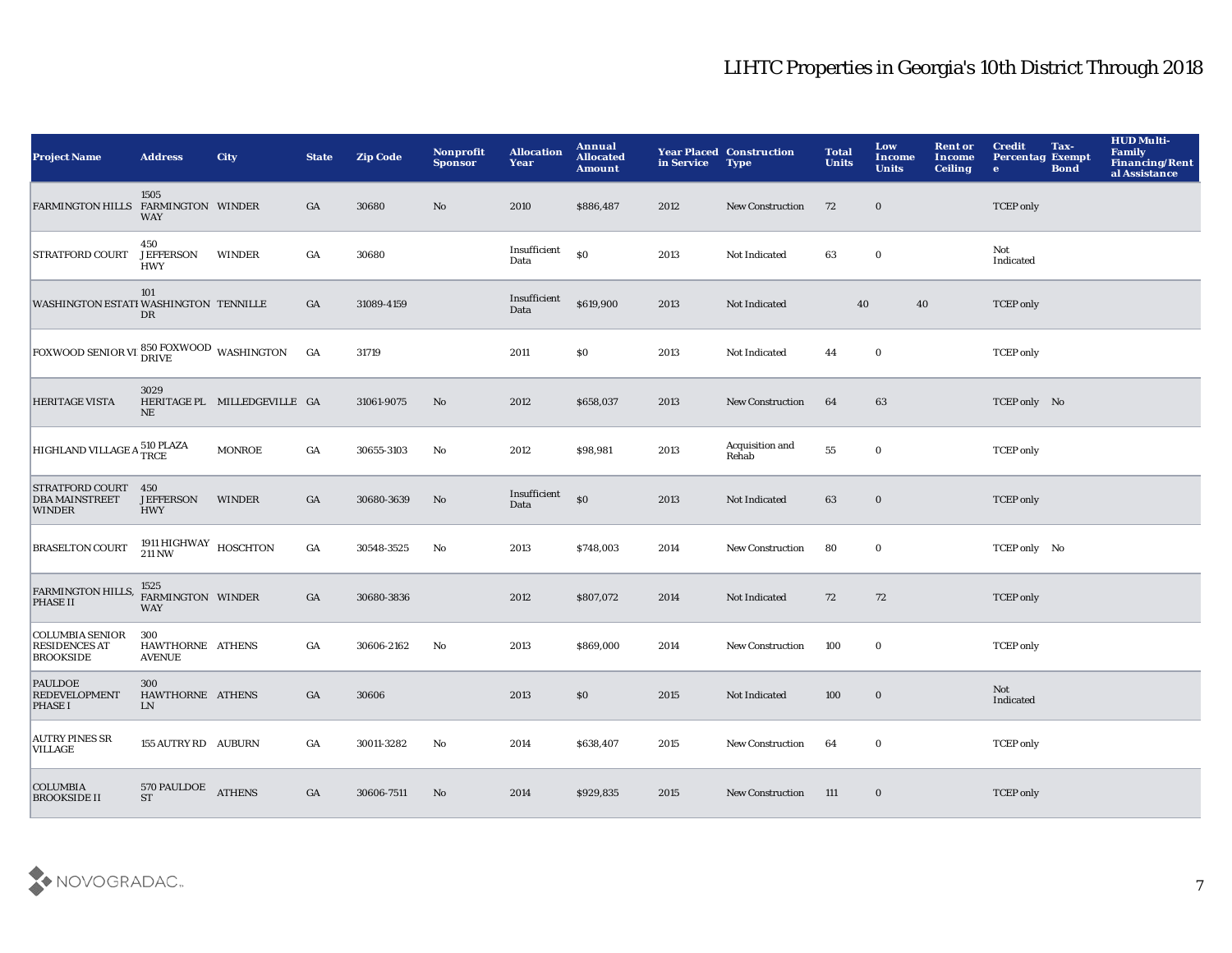| <b>Project Name</b>                                                | <b>Address</b>                                       | <b>City</b>                  | <b>State</b>     | <b>Zip Code</b> | Nonprofit<br><b>Sponsor</b> | <b>Allocation</b><br>Year | Annual<br><b>Allocated</b><br><b>Amount</b> | in Service | <b>Year Placed Construction</b><br><b>Type</b> | <b>Total</b><br><b>Units</b> | Low<br>Income<br><b>Units</b> | <b>Rent or</b><br>Income<br><b>Ceiling</b> | <b>Credit</b><br><b>Percentag Exempt</b><br>$\mathbf{e}$ | Tax-<br><b>Bond</b> | <b>HUD Multi-</b><br><b>Family</b><br>Financing/Rent<br>al Assistance |
|--------------------------------------------------------------------|------------------------------------------------------|------------------------------|------------------|-----------------|-----------------------------|---------------------------|---------------------------------------------|------------|------------------------------------------------|------------------------------|-------------------------------|--------------------------------------------|----------------------------------------------------------|---------------------|-----------------------------------------------------------------------|
| <b>FARMINGTON HILLS</b>                                            | 1505<br>FARMINGTON WINDER<br><b>WAY</b>              |                              | GA               | 30680           | No                          | 2010                      | \$886,487                                   | 2012       | <b>New Construction</b>                        | 72                           | $\bf{0}$                      |                                            | <b>TCEP</b> only                                         |                     |                                                                       |
| <b>STRATFORD COURT</b>                                             | 450<br><b>JEFFERSON</b><br><b>HWY</b>                | WINDER                       | GA               | 30680           |                             | Insufficient<br>Data      | $\mathbf{S}$                                | 2013       | Not Indicated                                  | 63                           | $\bf{0}$                      |                                            | Not<br>Indicated                                         |                     |                                                                       |
| WASHINGTON ESTATI WASHINGTON TENNILLE                              | 101<br>DR                                            |                              | GA               | 31089-4159      |                             | Insufficient<br>Data      | \$619,900                                   | 2013       | Not Indicated                                  | 40                           | 40                            |                                            | <b>TCEP</b> only                                         |                     |                                                                       |
| FOXWOOD SENIOR VI B50 FOXWOOD WASHINGTON                           |                                                      |                              | GA               | 31719           |                             | 2011                      | \$0                                         | 2013       | Not Indicated                                  | 44                           | $\mathbf 0$                   |                                            | <b>TCEP</b> only                                         |                     |                                                                       |
| <b>HERITAGE VISTA</b>                                              | 3029<br>NE                                           | HERITAGE PL MILLEDGEVILLE GA |                  | 31061-9075      | $\mathbf{N}\mathbf{o}$      | 2012                      | \$658,037                                   | 2013       | New Construction                               | 64                           | 63                            |                                            | TCEP only No                                             |                     |                                                                       |
| HIGHLAND VILLAGE A 510 PLAZA                                       |                                                      | <b>MONROE</b>                | $_{\mathrm{GA}}$ | 30655-3103      | $\mathbf {No}$              | 2012                      | \$98,981                                    | 2013       | Acquisition and<br>Rehab                       | 55                           | $\mathbf 0$                   |                                            | <b>TCEP</b> only                                         |                     |                                                                       |
| <b>STRATFORD COURT</b><br><b>DBA MAINSTREET</b><br><b>WINDER</b>   | 450<br><b>JEFFERSON</b><br><b>HWY</b>                | <b>WINDER</b>                | $_{\mathrm{GA}}$ | 30680-3639      | No                          | Insufficient<br>Data      | $\boldsymbol{\mathsf{S}}$                   | 2013       | Not Indicated                                  | 63                           | $\bf{0}$                      |                                            | <b>TCEP</b> only                                         |                     |                                                                       |
| <b>BRASELTON COURT</b>                                             | $1911\,\mathrm{HIGHWAY}$ HOSCHTON $211\,\mathrm{NW}$ |                              | $_{\mathrm{GA}}$ | 30548-3525      | No                          | 2013                      | \$748,003                                   | 2014       | <b>New Construction</b>                        | 80                           | $\mathbf 0$                   |                                            | TCEP only No                                             |                     |                                                                       |
| FARMINGTON HILLS,<br>PHASE II                                      | 1525<br>FARMINGTON WINDER<br><b>WAY</b>              |                              | GA               | 30680-3836      |                             | 2012                      | \$807,072                                   | 2014       | Not Indicated                                  | 72                           | 72                            |                                            | <b>TCEP</b> only                                         |                     |                                                                       |
| <b>COLUMBIA SENIOR</b><br><b>RESIDENCES AT</b><br><b>BROOKSIDE</b> | 300<br>HAWTHORNE ATHENS<br><b>AVENUE</b>             |                              | $_{\mathrm{GA}}$ | 30606-2162      | No                          | 2013                      | \$869,000                                   | 2014       | <b>New Construction</b>                        | 100                          | $\bf{0}$                      |                                            | <b>TCEP</b> only                                         |                     |                                                                       |
| <b>PAULDOE</b><br><b>REDEVELOPMENT</b><br><b>PHASE I</b>           | 300<br>HAWTHORNE ATHENS<br><b>LN</b>                 |                              | GA               | 30606           |                             | 2013                      | \$0                                         | 2015       | Not Indicated                                  | 100                          | $\bf{0}$                      |                                            | Not<br>Indicated                                         |                     |                                                                       |
| <b>AUTRY PINES SR</b><br>VILLAGE                                   | 155 AUTRY RD AUBURN                                  |                              | GA               | 30011-3282      | No                          | 2014                      | \$638,407                                   | 2015       | <b>New Construction</b>                        | 64                           | $\bf{0}$                      |                                            | <b>TCEP</b> only                                         |                     |                                                                       |
| <b>COLUMBIA</b><br><b>BROOKSIDE II</b>                             | <b>570 PAULDOE</b><br><b>ST</b>                      | <b>ATHENS</b>                | GA               | 30606-7511      | No                          | 2014                      | \$929,835                                   | 2015       | <b>New Construction</b>                        | 111                          | $\bf{0}$                      |                                            | <b>TCEP</b> only                                         |                     |                                                                       |